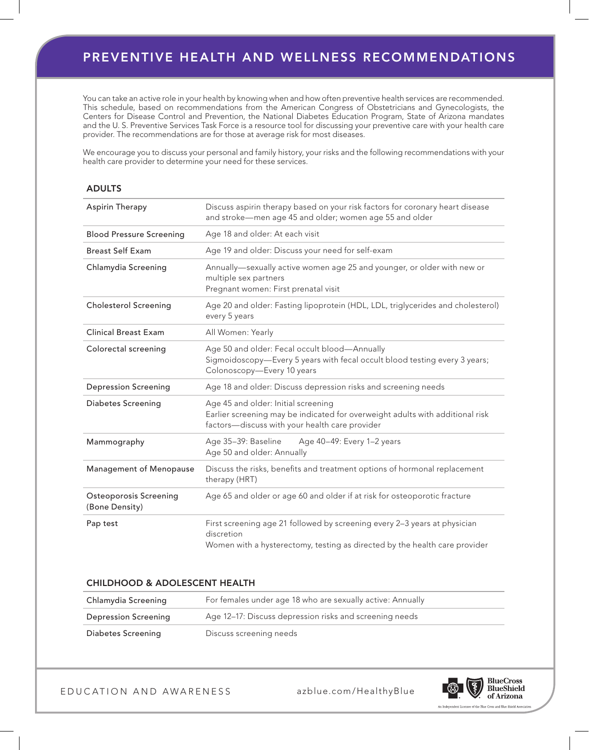# preventive health and wellness recommendations

You can take an active role in your health by knowing when and how often preventive health services are recommended. This schedule, based on recommendations from the American Congress of Obstetricians and Gynecologists, the Centers for Disease Control and Prevention, the National Diabetes Education Program, State of Arizona mandates and the U. S. Preventive Services Task Force is a resource tool for discussing your preventive care with your health care provider. The recommendations are for those at average risk for most diseases.

We encourage you to discuss your personal and family history, your risks and the following recommendations with your health care provider to determine your need for these services.

#### **ADULTS**

| Aspirin Therapy                                 | Discuss aspirin therapy based on your risk factors for coronary heart disease<br>and stroke-men age 45 and older; women age 55 and older                               |  |  |  |  |
|-------------------------------------------------|------------------------------------------------------------------------------------------------------------------------------------------------------------------------|--|--|--|--|
| <b>Blood Pressure Screening</b>                 | Age 18 and older: At each visit                                                                                                                                        |  |  |  |  |
| <b>Breast Self Exam</b>                         | Age 19 and older: Discuss your need for self-exam                                                                                                                      |  |  |  |  |
| Chlamydia Screening                             | Annually-sexually active women age 25 and younger, or older with new or<br>multiple sex partners<br>Pregnant women: First prenatal visit                               |  |  |  |  |
| <b>Cholesterol Screening</b>                    | Age 20 and older: Fasting lipoprotein (HDL, LDL, triglycerides and cholesterol)<br>every 5 years                                                                       |  |  |  |  |
| <b>Clinical Breast Exam</b>                     | All Women: Yearly                                                                                                                                                      |  |  |  |  |
| Colorectal screening                            | Age 50 and older: Fecal occult blood-Annually<br>Sigmoidoscopy-Every 5 years with fecal occult blood testing every 3 years;<br>Colonoscopy-Every 10 years              |  |  |  |  |
| <b>Depression Screening</b>                     | Age 18 and older: Discuss depression risks and screening needs                                                                                                         |  |  |  |  |
| <b>Diabetes Screening</b>                       | Age 45 and older: Initial screening<br>Earlier screening may be indicated for overweight adults with additional risk<br>factors-discuss with your health care provider |  |  |  |  |
| Mammography                                     | Age 35-39: Baseline<br>Age 40-49: Every 1-2 years<br>Age 50 and older: Annually                                                                                        |  |  |  |  |
| Management of Menopause                         | Discuss the risks, benefits and treatment options of hormonal replacement<br>therapy (HRT)                                                                             |  |  |  |  |
| <b>Osteoporosis Screening</b><br>(Bone Density) | Age 65 and older or age 60 and older if at risk for osteoporotic fracture                                                                                              |  |  |  |  |
| Pap test                                        | First screening age 21 followed by screening every 2-3 years at physician<br>discretion<br>Women with a hysterectomy, testing as directed by the health care provider  |  |  |  |  |

## Childhood & Adolescent Health

| Chlamydia Screening  | For females under age 18 who are sexually active: Annually |  |  |
|----------------------|------------------------------------------------------------|--|--|
| Depression Screening | Age 12–17: Discuss depression risks and screening needs    |  |  |
| Diabetes Screening   | Discuss screening needs                                    |  |  |

E D U CATION AND AWARENESS

azblue.com /HealthyBlue